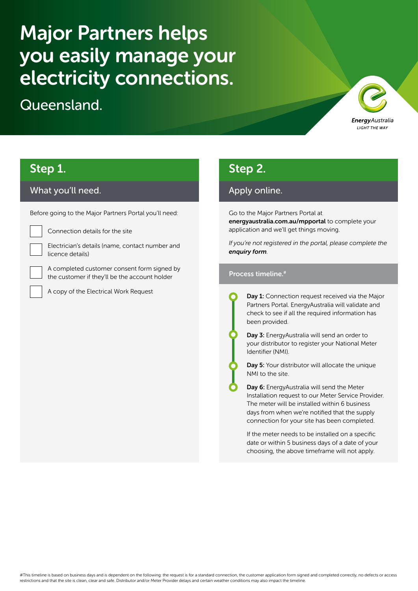# Major Partners helps you easily manage your electricity connections.

Queensland.



# Step 1.

### What you'll need.

Before going to the Major Partners Portal you'll need:



Connection details for the site

Electrician's details (name, contact number and licence details)

A completed customer consent form signed by the customer if they'll be the account holder

A copy of the Electrical Work Request

### Step 2.

### Apply online.

Go to the Major Partners Portal at [energyaustralia.com.au/mpportal](https://www.energyaustralia.com.au/mpportal) to complete your application and we'll get things moving.

*If you're not registered in the portal, please complete the [enquiry form](https://www.energyaustralia.com.au/business/electricity-and-gas/small-business/connections-disconnections-and-new-meters/majorpartners).*

#### Process timeline.#

Day 1: Connection request received via the Major Partners Portal. EnergyAustralia will validate and check to see if all the required information has been provided.

Day 3: EnergyAustralia will send an order to your distributor to register your National Meter Identifier (NMI).

Day 5: Your distributor will allocate the unique NMI to the site.

Day 6: EnergyAustralia will send the Meter Installation request to our Meter Service Provider. The meter will be installed within 6 business days from when we're notified that the supply connection for your site has been completed.

If the meter needs to be installed on a specific date or within 5 business days of a date of your choosing, the above timeframe will not apply.